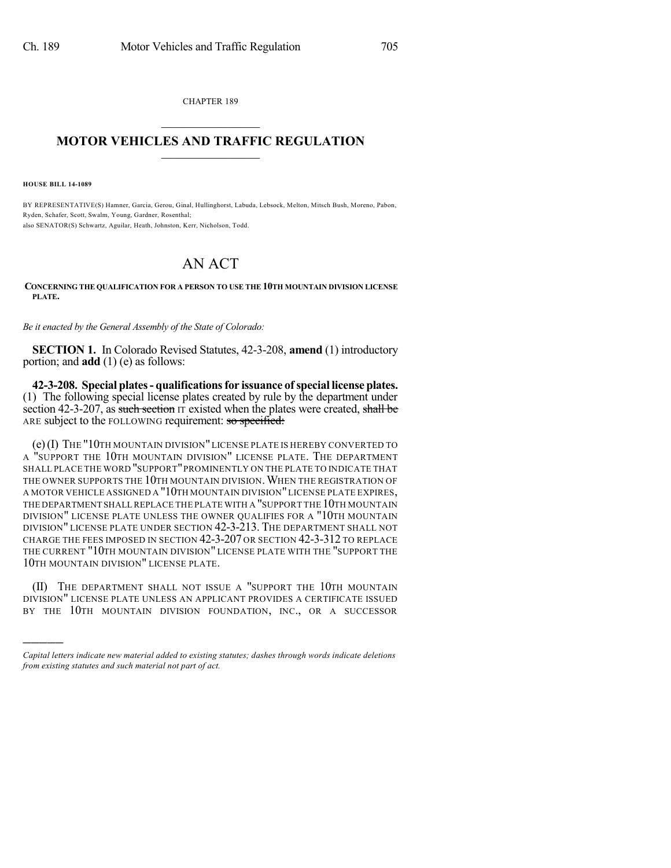CHAPTER 189  $\overline{\phantom{a}}$  . The set of the set of the set of the set of the set of the set of the set of the set of the set of the set of the set of the set of the set of the set of the set of the set of the set of the set of the set o

## **MOTOR VEHICLES AND TRAFFIC REGULATION**  $\frac{1}{2}$  ,  $\frac{1}{2}$  ,  $\frac{1}{2}$  ,  $\frac{1}{2}$  ,  $\frac{1}{2}$  ,  $\frac{1}{2}$  ,  $\frac{1}{2}$

**HOUSE BILL 14-1089**

)))))

BY REPRESENTATIVE(S) Hamner, Garcia, Gerou, Ginal, Hullinghorst, Labuda, Lebsock, Melton, Mitsch Bush, Moreno, Pabon, Ryden, Schafer, Scott, Swalm, Young, Gardner, Rosenthal; also SENATOR(S) Schwartz, Aguilar, Heath, Johnston, Kerr, Nicholson, Todd.

## AN ACT

**CONCERNING THE QUALIFICATION FOR A PERSON TO USE THE 10TH MOUNTAIN DIVISION LICENSE PLATE.**

*Be it enacted by the General Assembly of the State of Colorado:*

**SECTION 1.** In Colorado Revised Statutes, 42-3-208, **amend** (1) introductory portion; and **add** (1) (e) as follows:

**42-3-208. Special plates- qualificationsfor issuance ofspecial license plates.** (1) The following special license plates created by rule by the department under section 42-3-207, as such section  $I\bar{T}$  existed when the plates were created, shall be ARE subject to the FOLLOWING requirement: so specified:

(e)(I) THE "10TH MOUNTAIN DIVISION"LICENSE PLATE IS HEREBY CONVERTED TO A "SUPPORT THE 10TH MOUNTAIN DIVISION" LICENSE PLATE. THE DEPARTMENT SHALL PLACE THE WORD "SUPPORT"PROMINENTLY ON THE PLATE TO INDICATE THAT THE OWNER SUPPORTS THE 10TH MOUNTAIN DIVISION. WHEN THE REGISTRATION OF A MOTOR VEHICLE ASSIGNED A "10TH MOUNTAIN DIVISION"LICENSE PLATE EXPIRES, THE DEPARTMENT SHALL REPLACE THE PLATE WITH A "SUPPORT THE 10TH MOUNTAIN DIVISION" LICENSE PLATE UNLESS THE OWNER QUALIFIES FOR A "10TH MOUNTAIN DIVISION" LICENSE PLATE UNDER SECTION 42-3-213. THE DEPARTMENT SHALL NOT CHARGE THE FEES IMPOSED IN SECTION 42-3-207 OR SECTION 42-3-312 TO REPLACE THE CURRENT "10TH MOUNTAIN DIVISION" LICENSE PLATE WITH THE "SUPPORT THE 10TH MOUNTAIN DIVISION" LICENSE PLATE.

(II) THE DEPARTMENT SHALL NOT ISSUE A "SUPPORT THE 10TH MOUNTAIN DIVISION" LICENSE PLATE UNLESS AN APPLICANT PROVIDES A CERTIFICATE ISSUED BY THE 10TH MOUNTAIN DIVISION FOUNDATION, INC., OR A SUCCESSOR

*Capital letters indicate new material added to existing statutes; dashes through words indicate deletions from existing statutes and such material not part of act.*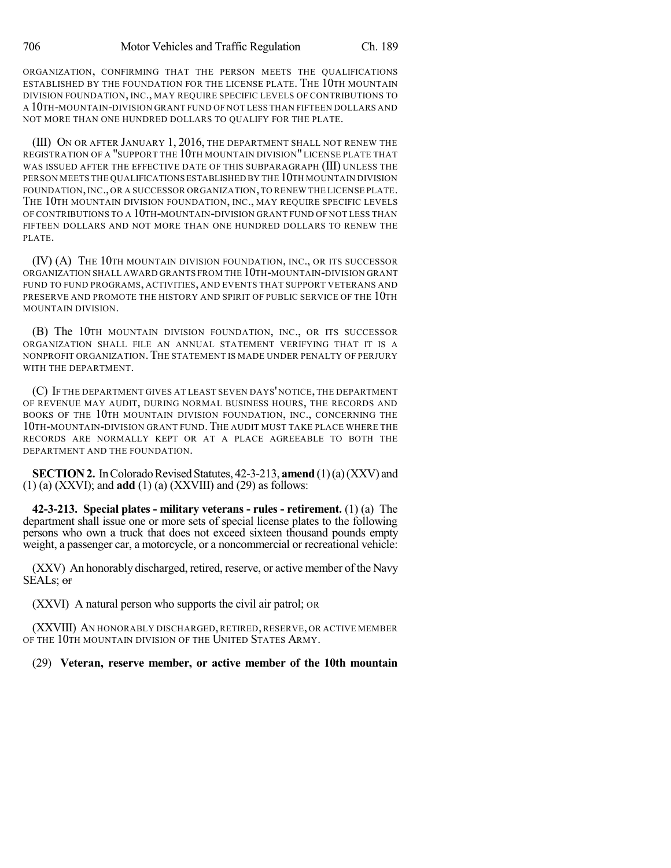ORGANIZATION, CONFIRMING THAT THE PERSON MEETS THE QUALIFICATIONS ESTABLISHED BY THE FOUNDATION FOR THE LICENSE PLATE. THE 10TH MOUNTAIN DIVISION FOUNDATION, INC., MAY REQUIRE SPECIFIC LEVELS OF CONTRIBUTIONS TO A 10TH-MOUNTAIN-DIVISION GRANT FUND OF NOT LESS THAN FIFTEEN DOLLARS AND NOT MORE THAN ONE HUNDRED DOLLARS TO QUALIFY FOR THE PLATE.

(III) ON OR AFTER JANUARY 1, 2016, THE DEPARTMENT SHALL NOT RENEW THE REGISTRATION OF A "SUPPORT THE 10TH MOUNTAIN DIVISION" LICENSE PLATE THAT WAS ISSUED AFTER THE EFFECTIVE DATE OF THIS SUBPARAGRAPH (III) UNLESS THE PERSON MEETS THE QUALIFICATIONS ESTABLISHED BY THE 10TH MOUNTAIN DIVISION FOUNDATION,INC., OR A SUCCESSOR ORGANIZATION,TO RENEW THE LICENSE PLATE. THE 10TH MOUNTAIN DIVISION FOUNDATION, INC., MAY REQUIRE SPECIFIC LEVELS OF CONTRIBUTIONS TO A 10TH-MOUNTAIN-DIVISION GRANT FUND OF NOT LESS THAN FIFTEEN DOLLARS AND NOT MORE THAN ONE HUNDRED DOLLARS TO RENEW THE PLATE.

(IV) (A) THE 10TH MOUNTAIN DIVISION FOUNDATION, INC., OR ITS SUCCESSOR ORGANIZATION SHALL AWARD GRANTS FROM THE 10TH-MOUNTAIN-DIVISION GRANT FUND TO FUND PROGRAMS, ACTIVITIES, AND EVENTS THAT SUPPORT VETERANS AND PRESERVE AND PROMOTE THE HISTORY AND SPIRIT OF PUBLIC SERVICE OF THE 10TH MOUNTAIN DIVISION.

(B) The 10TH MOUNTAIN DIVISION FOUNDATION, INC., OR ITS SUCCESSOR ORGANIZATION SHALL FILE AN ANNUAL STATEMENT VERIFYING THAT IT IS A NONPROFIT ORGANIZATION.THE STATEMENT IS MADE UNDER PENALTY OF PERJURY WITH THE DEPARTMENT.

(C) IF THE DEPARTMENT GIVES AT LEAST SEVEN DAYS' NOTICE, THE DEPARTMENT OF REVENUE MAY AUDIT, DURING NORMAL BUSINESS HOURS, THE RECORDS AND BOOKS OF THE 10TH MOUNTAIN DIVISION FOUNDATION, INC., CONCERNING THE 10TH-MOUNTAIN-DIVISION GRANT FUND.THE AUDIT MUST TAKE PLACE WHERE THE RECORDS ARE NORMALLY KEPT OR AT A PLACE AGREEABLE TO BOTH THE DEPARTMENT AND THE FOUNDATION.

**SECTION 2.** In Colorado Revised Statutes, 42-3-213, **amend** (1)(a)(XXV) and (1) (a) (XXVI); and **add** (1) (a) (XXVIII) and (29) as follows:

**42-3-213. Special plates - military veterans - rules - retirement.** (1) (a) The department shall issue one or more sets of special license plates to the following persons who own a truck that does not exceed sixteen thousand pounds empty weight, a passenger car, a motorcycle, or a noncommercial or recreational vehicle:

(XXV) An honorably discharged, retired, reserve, or active member of the Navy SEALs; or

(XXVI) A natural person who supports the civil air patrol; OR

(XXVIII) AN HONORABLY DISCHARGED, RETIRED, RESERVE, OR ACTIVE MEMBER OF THE 10TH MOUNTAIN DIVISION OF THE UNITED STATES ARMY.

(29) **Veteran, reserve member, or active member of the 10th mountain**